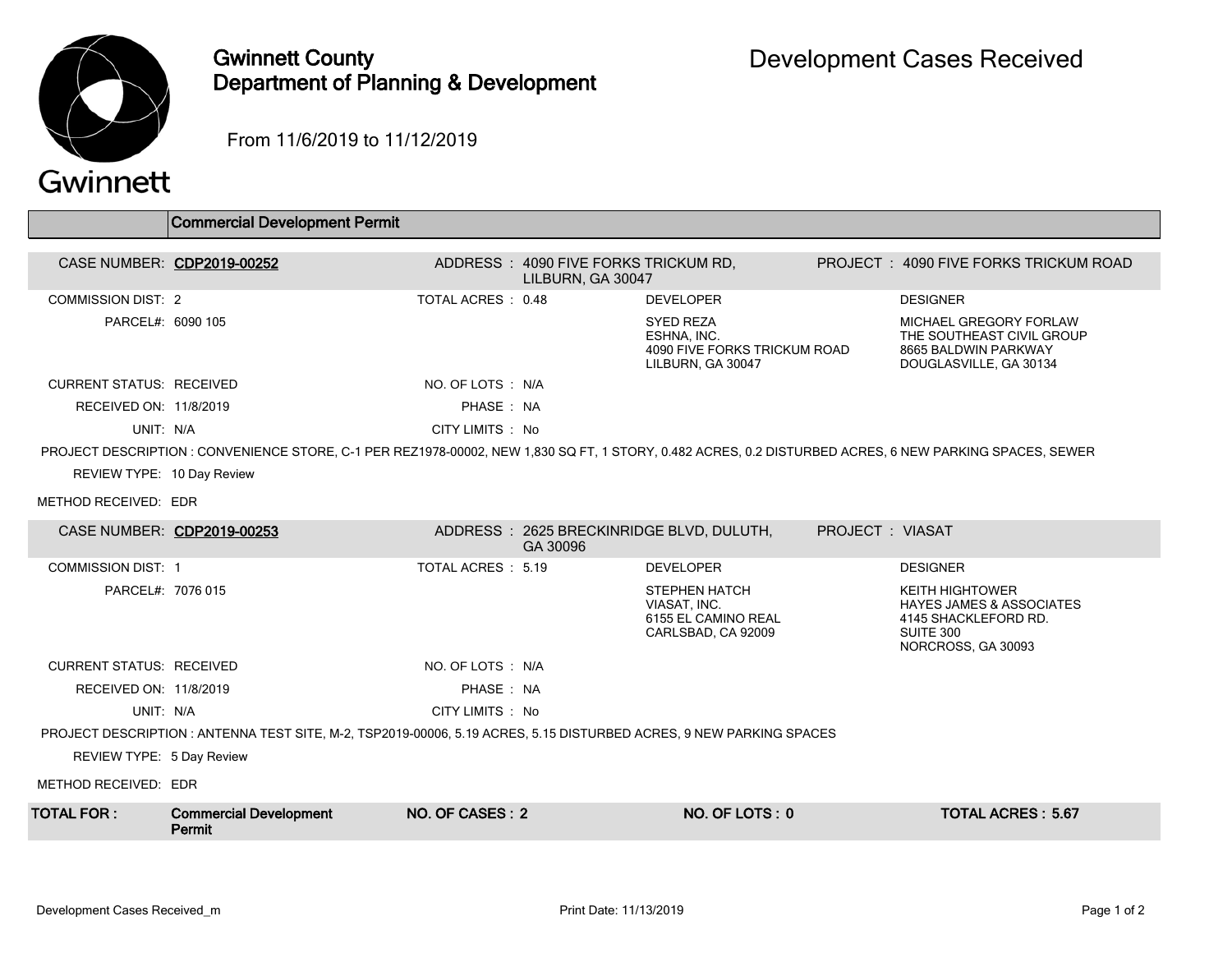

## Gwinnett County Department of Planning & Development

From 11/6/2019 to 11/12/2019

|  | Gwinnett |
|--|----------|
|  |          |

|                                                                                                                    | <b>Commercial Development Permit</b>                                                                                                                    |                   |                                                           |                                                                                      |                 |                                                                                                                          |  |
|--------------------------------------------------------------------------------------------------------------------|---------------------------------------------------------------------------------------------------------------------------------------------------------|-------------------|-----------------------------------------------------------|--------------------------------------------------------------------------------------|-----------------|--------------------------------------------------------------------------------------------------------------------------|--|
| CASE NUMBER: CDP2019-00252                                                                                         |                                                                                                                                                         |                   | ADDRESS: 4090 FIVE FORKS TRICKUM RD.<br>LILBURN, GA 30047 |                                                                                      |                 | PROJECT: 4090 FIVE FORKS TRICKUM ROAD                                                                                    |  |
| <b>COMMISSION DIST: 2</b>                                                                                          |                                                                                                                                                         | TOTAL ACRES: 0.48 |                                                           | <b>DEVELOPER</b>                                                                     |                 | <b>DESIGNER</b>                                                                                                          |  |
| PARCEL#: 6090 105                                                                                                  |                                                                                                                                                         |                   |                                                           | <b>SYED REZA</b><br>ESHNA, INC.<br>4090 FIVE FORKS TRICKUM ROAD<br>LILBURN, GA 30047 |                 | MICHAEL GREGORY FORLAW<br>THE SOUTHEAST CIVIL GROUP<br>8665 BALDWIN PARKWAY<br>DOUGLASVILLE, GA 30134                    |  |
| <b>CURRENT STATUS: RECEIVED</b>                                                                                    |                                                                                                                                                         | NO. OF LOTS : N/A |                                                           |                                                                                      |                 |                                                                                                                          |  |
| RECEIVED ON: 11/8/2019                                                                                             |                                                                                                                                                         | PHASE: NA         |                                                           |                                                                                      |                 |                                                                                                                          |  |
| UNIT: N/A                                                                                                          |                                                                                                                                                         | CITY LIMITS : No  |                                                           |                                                                                      |                 |                                                                                                                          |  |
|                                                                                                                    | PROJECT DESCRIPTION : CONVENIENCE STORE, C-1 PER REZ1978-00002, NEW 1,830 SQ FT, 1 STORY, 0.482 ACRES, 0.2 DISTURBED ACRES, 6 NEW PARKING SPACES, SEWER |                   |                                                           |                                                                                      |                 |                                                                                                                          |  |
| REVIEW TYPE: 10 Day Review                                                                                         |                                                                                                                                                         |                   |                                                           |                                                                                      |                 |                                                                                                                          |  |
| METHOD RECEIVED: EDR                                                                                               |                                                                                                                                                         |                   |                                                           |                                                                                      |                 |                                                                                                                          |  |
| CASE NUMBER: CDP2019-00253                                                                                         |                                                                                                                                                         |                   | GA 30096                                                  | ADDRESS: 2625 BRECKINRIDGE BLVD, DULUTH,                                             | PROJECT: VIASAT |                                                                                                                          |  |
| <b>COMMISSION DIST: 1</b>                                                                                          |                                                                                                                                                         | TOTAL ACRES: 5.19 |                                                           | <b>DEVELOPER</b>                                                                     |                 | <b>DESIGNER</b>                                                                                                          |  |
| PARCEL#: 7076 015                                                                                                  |                                                                                                                                                         |                   |                                                           | <b>STEPHEN HATCH</b><br>VIASAT, INC.<br>6155 EL CAMINO REAL<br>CARLSBAD, CA 92009    |                 | <b>KEITH HIGHTOWER</b><br><b>HAYES JAMES &amp; ASSOCIATES</b><br>4145 SHACKLEFORD RD.<br>SUITE 300<br>NORCROSS, GA 30093 |  |
| <b>CURRENT STATUS: RECEIVED</b>                                                                                    |                                                                                                                                                         | NO. OF LOTS : N/A |                                                           |                                                                                      |                 |                                                                                                                          |  |
| RECEIVED ON: 11/8/2019                                                                                             |                                                                                                                                                         | PHASE: NA         |                                                           |                                                                                      |                 |                                                                                                                          |  |
| UNIT: N/A                                                                                                          |                                                                                                                                                         | CITY LIMITS : No  |                                                           |                                                                                      |                 |                                                                                                                          |  |
| PROJECT DESCRIPTION: ANTENNA TEST SITE, M-2, TSP2019-00006, 5.19 ACRES, 5.15 DISTURBED ACRES, 9 NEW PARKING SPACES |                                                                                                                                                         |                   |                                                           |                                                                                      |                 |                                                                                                                          |  |
| REVIEW TYPE: 5 Day Review                                                                                          |                                                                                                                                                         |                   |                                                           |                                                                                      |                 |                                                                                                                          |  |
| METHOD RECEIVED: EDR                                                                                               |                                                                                                                                                         |                   |                                                           |                                                                                      |                 |                                                                                                                          |  |
| TOTAL FOR :                                                                                                        | <b>Commercial Development</b><br>Permit                                                                                                                 | NO. OF CASES: 2   |                                                           | NO. OF LOTS: 0                                                                       |                 | <b>TOTAL ACRES: 5.67</b>                                                                                                 |  |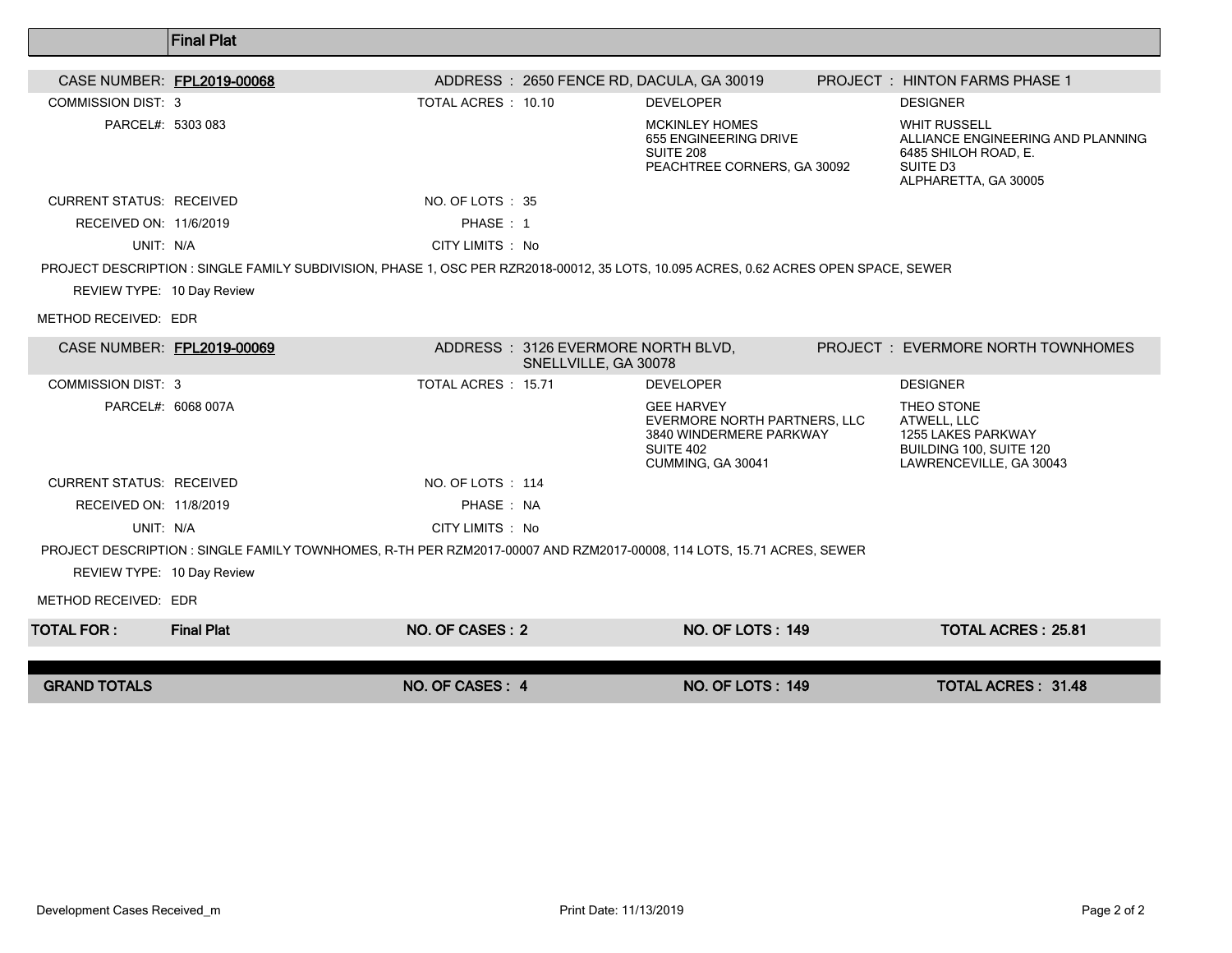|                                 | <b>Final Plat</b>                                                                                                                   |                    |                                                            |                                                                                                                       |                                                                                                                                  |
|---------------------------------|-------------------------------------------------------------------------------------------------------------------------------------|--------------------|------------------------------------------------------------|-----------------------------------------------------------------------------------------------------------------------|----------------------------------------------------------------------------------------------------------------------------------|
| CASE NUMBER: FPL2019-00068      |                                                                                                                                     |                    |                                                            | ADDRESS: 2650 FENCE RD, DACULA, GA 30019                                                                              | PROJECT : HINTON FARMS PHASE 1                                                                                                   |
| <b>COMMISSION DIST: 3</b>       |                                                                                                                                     | TOTAL ACRES: 10.10 |                                                            | <b>DEVELOPER</b>                                                                                                      | <b>DESIGNER</b>                                                                                                                  |
| PARCEL#: 5303 083               |                                                                                                                                     |                    |                                                            | <b>MCKINLEY HOMES</b><br>655 ENGINEERING DRIVE<br>SUITE 208<br>PEACHTREE CORNERS, GA 30092                            | <b>WHIT RUSSELL</b><br>ALLIANCE ENGINEERING AND PLANNING<br>6485 SHILOH ROAD, E.<br>SUITE D <sub>3</sub><br>ALPHARETTA, GA 30005 |
| <b>CURRENT STATUS: RECEIVED</b> |                                                                                                                                     | NO. OF LOTS: 35    |                                                            |                                                                                                                       |                                                                                                                                  |
| RECEIVED ON: 11/6/2019          |                                                                                                                                     | PHASE: 1           |                                                            |                                                                                                                       |                                                                                                                                  |
| UNIT: N/A                       |                                                                                                                                     | CITY LIMITS : No   |                                                            |                                                                                                                       |                                                                                                                                  |
| REVIEW TYPE: 10 Day Review      | PROJECT DESCRIPTION: SINGLE FAMILY SUBDIVISION, PHASE 1, OSC PER RZR2018-00012, 35 LOTS, 10.095 ACRES, 0.62 ACRES OPEN SPACE, SEWER |                    |                                                            |                                                                                                                       |                                                                                                                                  |
| METHOD RECEIVED: EDR            |                                                                                                                                     |                    |                                                            |                                                                                                                       |                                                                                                                                  |
| CASE NUMBER: FPL2019-00069      |                                                                                                                                     |                    | ADDRESS: 3126 EVERMORE NORTH BLVD,<br>SNELLVILLE, GA 30078 |                                                                                                                       | PROJECT: EVERMORE NORTH TOWNHOMES                                                                                                |
| COMMISSION DIST: 3              |                                                                                                                                     | TOTAL ACRES: 15.71 |                                                            | <b>DEVELOPER</b>                                                                                                      | <b>DESIGNER</b>                                                                                                                  |
| PARCEL#: 6068 007A              |                                                                                                                                     |                    |                                                            | <b>GEE HARVEY</b><br>EVERMORE NORTH PARTNERS, LLC<br>3840 WINDERMERE PARKWAY<br><b>SUITE 402</b><br>CUMMING, GA 30041 | THEO STONE<br>ATWELL, LLC<br>1255 LAKES PARKWAY<br>BUILDING 100, SUITE 120<br>LAWRENCEVILLE, GA 30043                            |
| <b>CURRENT STATUS: RECEIVED</b> |                                                                                                                                     | NO. OF LOTS: 114   |                                                            |                                                                                                                       |                                                                                                                                  |
| RECEIVED ON: 11/8/2019          |                                                                                                                                     | PHASE: NA          |                                                            |                                                                                                                       |                                                                                                                                  |
| UNIT: N/A                       |                                                                                                                                     | CITY LIMITS : No   |                                                            |                                                                                                                       |                                                                                                                                  |
|                                 | PROJECT DESCRIPTION : SINGLE FAMILY TOWNHOMES, R-TH PER RZM2017-00007 AND RZM2017-00008, 114 LOTS, 15.71 ACRES, SEWER               |                    |                                                            |                                                                                                                       |                                                                                                                                  |
| REVIEW TYPE: 10 Day Review      |                                                                                                                                     |                    |                                                            |                                                                                                                       |                                                                                                                                  |
| METHOD RECEIVED: EDR            |                                                                                                                                     |                    |                                                            |                                                                                                                       |                                                                                                                                  |
| <b>TOTAL FOR :</b>              | <b>Final Plat</b>                                                                                                                   | NO. OF CASES: 2    |                                                            | <b>NO. OF LOTS: 149</b>                                                                                               | <b>TOTAL ACRES: 25.81</b>                                                                                                        |
| <b>GRAND TOTALS</b>             |                                                                                                                                     | NO. OF CASES: 4    |                                                            | <b>NO. OF LOTS: 149</b>                                                                                               | <b>TOTAL ACRES: 31.48</b>                                                                                                        |